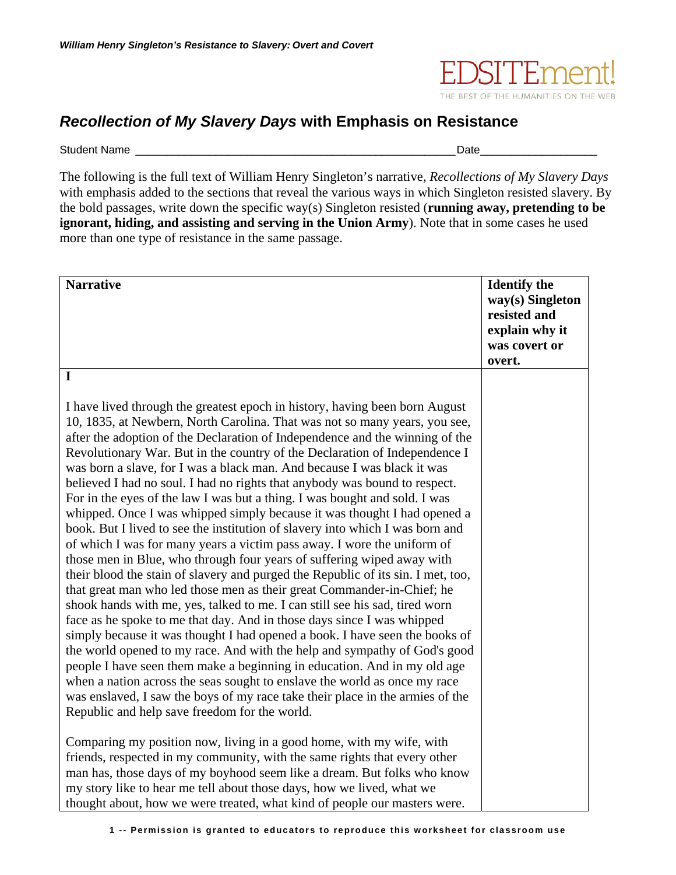

# *Recollection of My Slavery Days* **with Emphasis on Resistance**

Student Name **Example 20** and the student Name of the student of the student of the student of the student of the student of the student of the student of the student of the student of the student of the student of the stu

The following is the full text of William Henry Singleton's narrative, *Recollections of My Slavery Days* with emphasis added to the sections that reveal the various ways in which Singleton resisted slavery. By the bold passages, write down the specific way(s) Singleton resisted (**running away, pretending to be ignorant, hiding, and assisting and serving in the Union Army**). Note that in some cases he used more than one type of resistance in the same passage.

| <b>Narrative</b>                                                                 | <b>Identify the</b> |
|----------------------------------------------------------------------------------|---------------------|
|                                                                                  | $way(s)$ Singleton  |
|                                                                                  | resisted and        |
|                                                                                  |                     |
|                                                                                  | explain why it      |
|                                                                                  | was covert or       |
|                                                                                  | overt.              |
| $\mathbf I$                                                                      |                     |
|                                                                                  |                     |
| I have lived through the greatest epoch in history, having been born August      |                     |
| 10, 1835, at Newbern, North Carolina. That was not so many years, you see,       |                     |
| after the adoption of the Declaration of Independence and the winning of the     |                     |
| Revolutionary War. But in the country of the Declaration of Independence I       |                     |
| was born a slave, for I was a black man. And because I was black it was          |                     |
| believed I had no soul. I had no rights that anybody was bound to respect.       |                     |
| For in the eyes of the law I was but a thing. I was bought and sold. I was       |                     |
| whipped. Once I was whipped simply because it was thought I had opened a         |                     |
| book. But I lived to see the institution of slavery into which I was born and    |                     |
| of which I was for many years a victim pass away. I wore the uniform of          |                     |
| those men in Blue, who through four years of suffering wiped away with           |                     |
| their blood the stain of slavery and purged the Republic of its sin. I met, too, |                     |
| that great man who led those men as their great Commander-in-Chief; he           |                     |
|                                                                                  |                     |
| shook hands with me, yes, talked to me. I can still see his sad, tired worn      |                     |
| face as he spoke to me that day. And in those days since I was whipped           |                     |
| simply because it was thought I had opened a book. I have seen the books of      |                     |
| the world opened to my race. And with the help and sympathy of God's good        |                     |
| people I have seen them make a beginning in education. And in my old age         |                     |
| when a nation across the seas sought to enslave the world as once my race        |                     |
| was enslaved, I saw the boys of my race take their place in the armies of the    |                     |
| Republic and help save freedom for the world.                                    |                     |
|                                                                                  |                     |
| Comparing my position now, living in a good home, with my wife, with             |                     |
| friends, respected in my community, with the same rights that every other        |                     |
| man has, those days of my boyhood seem like a dream. But folks who know          |                     |
| my story like to hear me tell about those days, how we lived, what we            |                     |
| thought about, how we were treated, what kind of people our masters were.        |                     |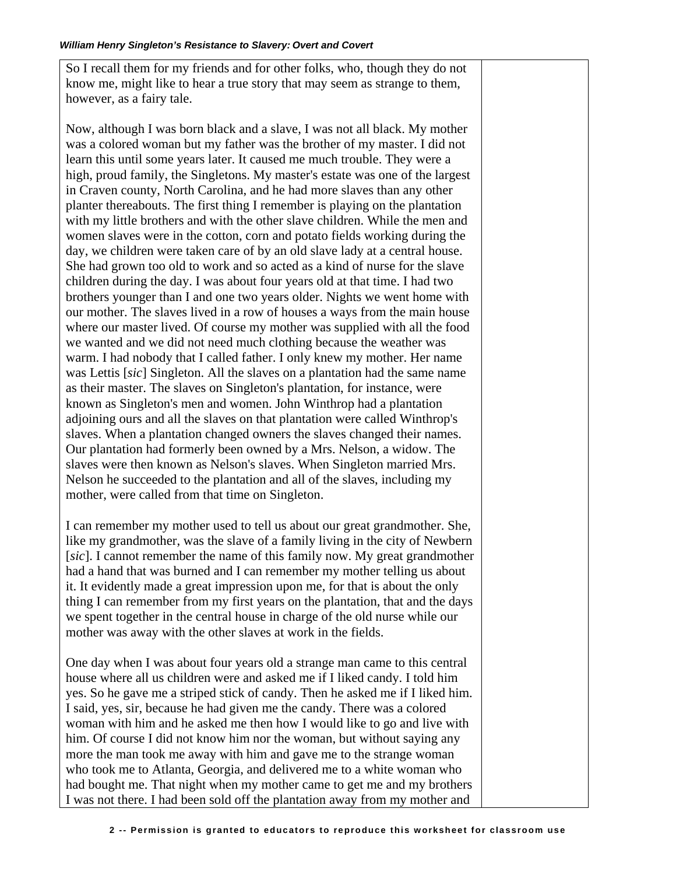So I recall them for my friends and for other folks, who, though they do not know me, might like to hear a true story that may seem as strange to them, however, as a fairy tale.

Now, although I was born black and a slave, I was not all black. My mother was a colored woman but my father was the brother of my master. I did not learn this until some years later. It caused me much trouble. They were a high, proud family, the Singletons. My master's estate was one of the largest in Craven county, North Carolina, and he had more slaves than any other planter thereabouts. The first thing I remember is playing on the plantation with my little brothers and with the other slave children. While the men and women slaves were in the cotton, corn and potato fields working during the day, we children were taken care of by an old slave lady at a central house. She had grown too old to work and so acted as a kind of nurse for the slave children during the day. I was about four years old at that time. I had two brothers younger than I and one two years older. Nights we went home with our mother. The slaves lived in a row of houses a ways from the main house where our master lived. Of course my mother was supplied with all the food we wanted and we did not need much clothing because the weather was warm. I had nobody that I called father. I only knew my mother. Her name was Lettis [*sic*] Singleton. All the slaves on a plantation had the same name as their master. The slaves on Singleton's plantation, for instance, were known as Singleton's men and women. John Winthrop had a plantation adjoining ours and all the slaves on that plantation were called Winthrop's slaves. When a plantation changed owners the slaves changed their names. Our plantation had formerly been owned by a Mrs. Nelson, a widow. The slaves were then known as Nelson's slaves. When Singleton married Mrs. Nelson he succeeded to the plantation and all of the slaves, including my mother, were called from that time on Singleton.

I can remember my mother used to tell us about our great grandmother. She, like my grandmother, was the slave of a family living in the city of Newbern [*sic*]. I cannot remember the name of this family now. My great grandmother had a hand that was burned and I can remember my mother telling us about it. It evidently made a great impression upon me, for that is about the only thing I can remember from my first years on the plantation, that and the days we spent together in the central house in charge of the old nurse while our mother was away with the other slaves at work in the fields.

One day when I was about four years old a strange man came to this central house where all us children were and asked me if I liked candy. I told him yes. So he gave me a striped stick of candy. Then he asked me if I liked him. I said, yes, sir, because he had given me the candy. There was a colored woman with him and he asked me then how I would like to go and live with him. Of course I did not know him nor the woman, but without saying any more the man took me away with him and gave me to the strange woman who took me to Atlanta, Georgia, and delivered me to a white woman who had bought me. That night when my mother came to get me and my brothers I was not there. I had been sold off the plantation away from my mother and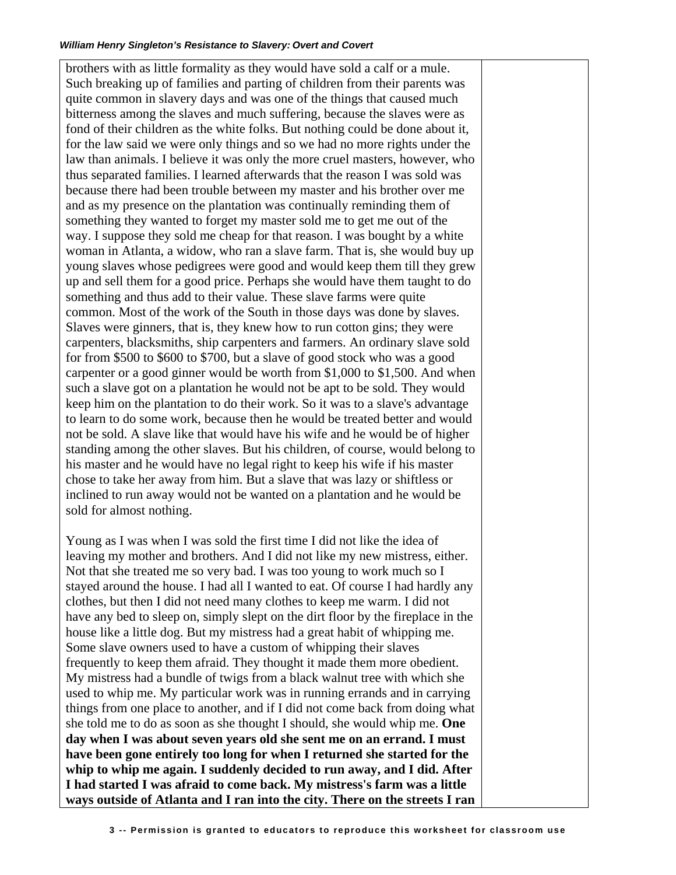brothers with as little formality as they would have sold a calf or a mule. Such breaking up of families and parting of children from their parents was quite common in slavery days and was one of the things that caused much bitterness among the slaves and much suffering, because the slaves were as fond of their children as the white folks. But nothing could be done about it, for the law said we were only things and so we had no more rights under the law than animals. I believe it was only the more cruel masters, however, who thus separated families. I learned afterwards that the reason I was sold was because there had been trouble between my master and his brother over me and as my presence on the plantation was continually reminding them of something they wanted to forget my master sold me to get me out of the way. I suppose they sold me cheap for that reason. I was bought by a white woman in Atlanta, a widow, who ran a slave farm. That is, she would buy up young slaves whose pedigrees were good and would keep them till they grew up and sell them for a good price. Perhaps she would have them taught to do something and thus add to their value. These slave farms were quite common. Most of the work of the South in those days was done by slaves. Slaves were ginners, that is, they knew how to run cotton gins; they were carpenters, blacksmiths, ship carpenters and farmers. An ordinary slave sold for from \$500 to \$600 to \$700, but a slave of good stock who was a good carpenter or a good ginner would be worth from \$1,000 to \$1,500. And when such a slave got on a plantation he would not be apt to be sold. They would keep him on the plantation to do their work. So it was to a slave's advantage to learn to do some work, because then he would be treated better and would not be sold. A slave like that would have his wife and he would be of higher standing among the other slaves. But his children, of course, would belong to his master and he would have no legal right to keep his wife if his master chose to take her away from him. But a slave that was lazy or shiftless or inclined to run away would not be wanted on a plantation and he would be sold for almost nothing.

Young as I was when I was sold the first time I did not like the idea of leaving my mother and brothers. And I did not like my new mistress, either. Not that she treated me so very bad. I was too young to work much so I stayed around the house. I had all I wanted to eat. Of course I had hardly any clothes, but then I did not need many clothes to keep me warm. I did not have any bed to sleep on, simply slept on the dirt floor by the fireplace in the house like a little dog. But my mistress had a great habit of whipping me. Some slave owners used to have a custom of whipping their slaves frequently to keep them afraid. They thought it made them more obedient. My mistress had a bundle of twigs from a black walnut tree with which she used to whip me. My particular work was in running errands and in carrying things from one place to another, and if I did not come back from doing what she told me to do as soon as she thought I should, she would whip me. **One day when I was about seven years old she sent me on an errand. I must have been gone entirely too long for when I returned she started for the whip to whip me again. I suddenly decided to run away, and I did. After I had started I was afraid to come back. My mistress's farm was a little ways outside of Atlanta and I ran into the city. There on the streets I ran**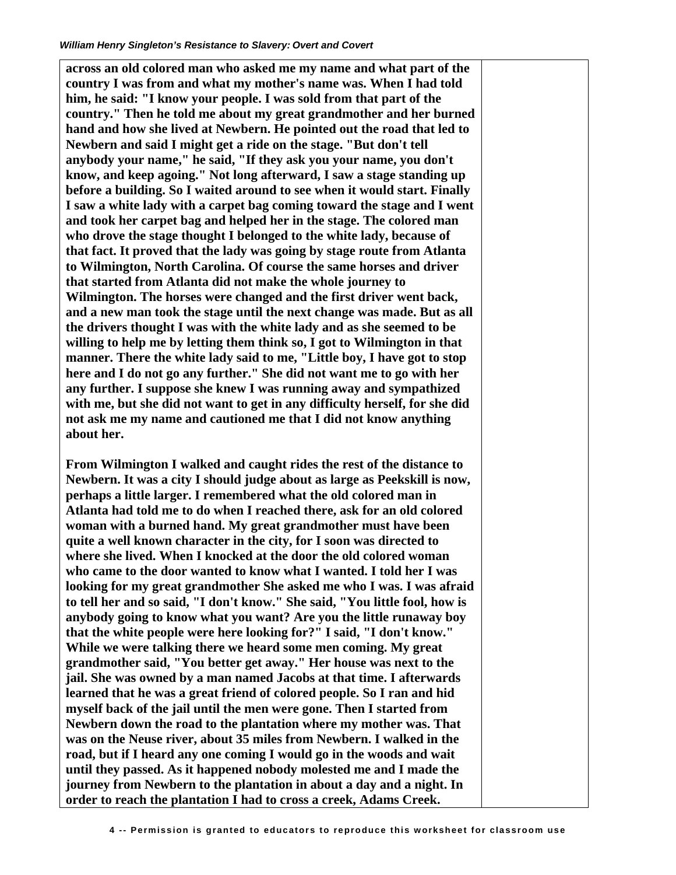**across an old colored man who asked me my name and what part of the country I was from and what my mother's name was. When I had told him, he said: "I know your people. I was sold from that part of the country." Then he told me about my great grandmother and her burned hand and how she lived at Newbern. He pointed out the road that led to Newbern and said I might get a ride on the stage. "But don't tell anybody your name," he said, "If they ask you your name, you don't know, and keep agoing." Not long afterward, I saw a stage standing up before a building. So I waited around to see when it would start. Finally I saw a white lady with a carpet bag coming toward the stage and I went and took her carpet bag and helped her in the stage. The colored man who drove the stage thought I belonged to the white lady, because of that fact. It proved that the lady was going by stage route from Atlanta to Wilmington, North Carolina. Of course the same horses and driver that started from Atlanta did not make the whole journey to Wilmington. The horses were changed and the first driver went back, and a new man took the stage until the next change was made. But as all the drivers thought I was with the white lady and as she seemed to be willing to help me by letting them think so, I got to Wilmington in that manner. There the white lady said to me, "Little boy, I have got to stop here and I do not go any further." She did not want me to go with her any further. I suppose she knew I was running away and sympathized with me, but she did not want to get in any difficulty herself, for she did not ask me my name and cautioned me that I did not know anything about her.** 

**From Wilmington I walked and caught rides the rest of the distance to Newbern. It was a city I should judge about as large as Peekskill is now, perhaps a little larger. I remembered what the old colored man in Atlanta had told me to do when I reached there, ask for an old colored woman with a burned hand. My great grandmother must have been quite a well known character in the city, for I soon was directed to where she lived. When I knocked at the door the old colored woman who came to the door wanted to know what I wanted. I told her I was looking for my great grandmother She asked me who I was. I was afraid to tell her and so said, "I don't know." She said, "You little fool, how is anybody going to know what you want? Are you the little runaway boy that the white people were here looking for?" I said, "I don't know." While we were talking there we heard some men coming. My great grandmother said, "You better get away." Her house was next to the jail. She was owned by a man named Jacobs at that time. I afterwards learned that he was a great friend of colored people. So I ran and hid myself back of the jail until the men were gone. Then I started from Newbern down the road to the plantation where my mother was. That was on the Neuse river, about 35 miles from Newbern. I walked in the road, but if I heard any one coming I would go in the woods and wait until they passed. As it happened nobody molested me and I made the journey from Newbern to the plantation in about a day and a night. In order to reach the plantation I had to cross a creek, Adams Creek.**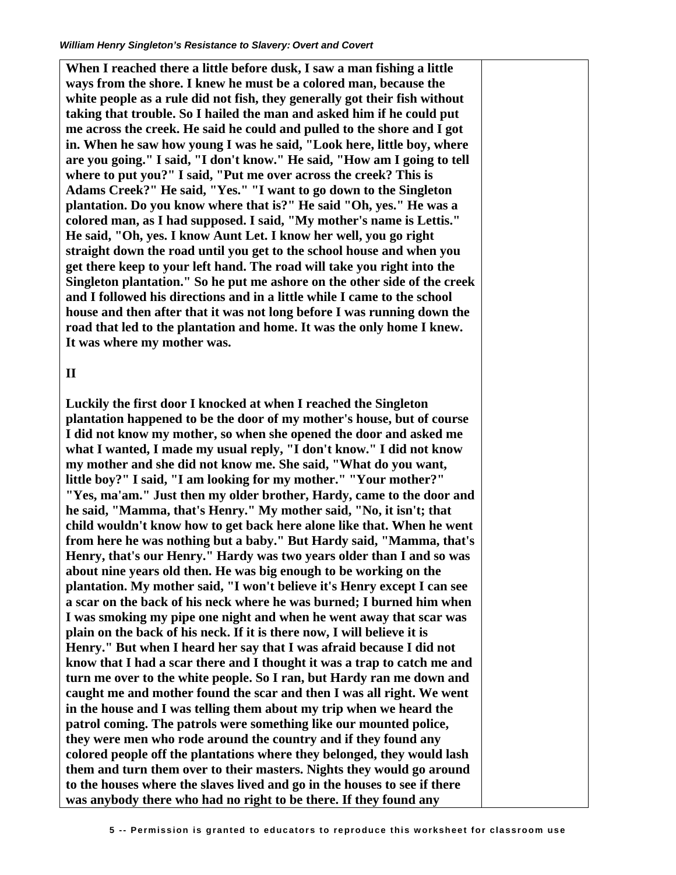**When I reached there a little before dusk, I saw a man fishing a little ways from the shore. I knew he must be a colored man, because the white people as a rule did not fish, they generally got their fish without taking that trouble. So I hailed the man and asked him if he could put me across the creek. He said he could and pulled to the shore and I got in. When he saw how young I was he said, "Look here, little boy, where are you going." I said, "I don't know." He said, "How am I going to tell where to put you?" I said, "Put me over across the creek? This is Adams Creek?" He said, "Yes." "I want to go down to the Singleton plantation. Do you know where that is?" He said "Oh, yes." He was a colored man, as I had supposed. I said, "My mother's name is Lettis." He said, "Oh, yes. I know Aunt Let. I know her well, you go right straight down the road until you get to the school house and when you get there keep to your left hand. The road will take you right into the Singleton plantation." So he put me ashore on the other side of the creek and I followed his directions and in a little while I came to the school house and then after that it was not long before I was running down the road that led to the plantation and home. It was the only home I knew. It was where my mother was.** 

## **II**

**Luckily the first door I knocked at when I reached the Singleton plantation happened to be the door of my mother's house, but of course I did not know my mother, so when she opened the door and asked me what I wanted, I made my usual reply, "I don't know." I did not know my mother and she did not know me. She said, "What do you want, little boy?" I said, "I am looking for my mother." "Your mother?" "Yes, ma'am." Just then my older brother, Hardy, came to the door and he said, "Mamma, that's Henry." My mother said, "No, it isn't; that child wouldn't know how to get back here alone like that. When he went from here he was nothing but a baby." But Hardy said, "Mamma, that's Henry, that's our Henry." Hardy was two years older than I and so was about nine years old then. He was big enough to be working on the plantation. My mother said, "I won't believe it's Henry except I can see a scar on the back of his neck where he was burned; I burned him when I was smoking my pipe one night and when he went away that scar was plain on the back of his neck. If it is there now, I will believe it is Henry." But when I heard her say that I was afraid because I did not know that I had a scar there and I thought it was a trap to catch me and turn me over to the white people. So I ran, but Hardy ran me down and caught me and mother found the scar and then I was all right. We went in the house and I was telling them about my trip when we heard the patrol coming. The patrols were something like our mounted police, they were men who rode around the country and if they found any colored people off the plantations where they belonged, they would lash them and turn them over to their masters. Nights they would go around to the houses where the slaves lived and go in the houses to see if there was anybody there who had no right to be there. If they found any**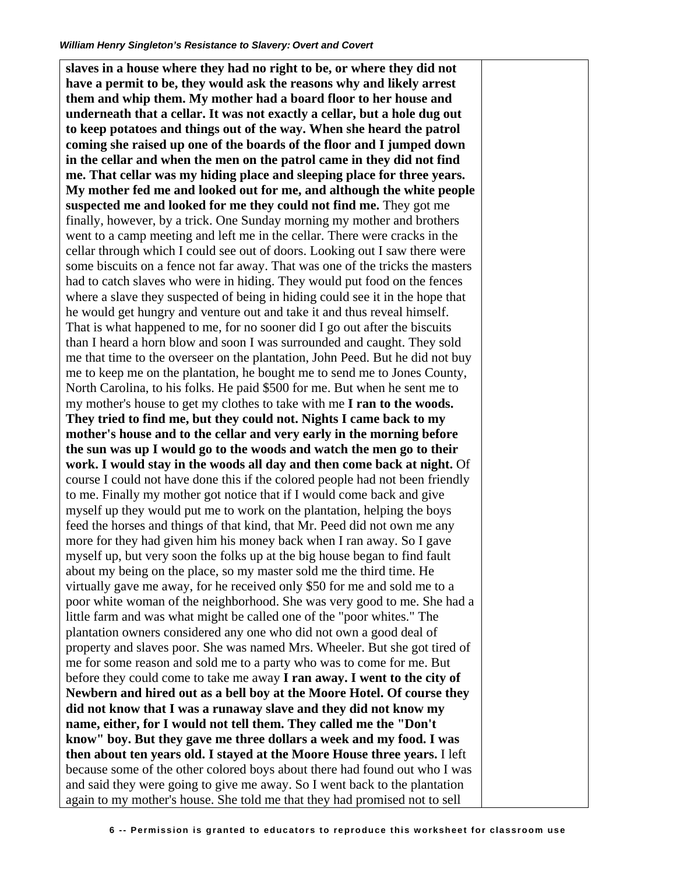**slaves in a house where they had no right to be, or where they did not have a permit to be, they would ask the reasons why and likely arrest them and whip them. My mother had a board floor to her house and underneath that a cellar. It was not exactly a cellar, but a hole dug out to keep potatoes and things out of the way. When she heard the patrol coming she raised up one of the boards of the floor and I jumped down in the cellar and when the men on the patrol came in they did not find me. That cellar was my hiding place and sleeping place for three years. My mother fed me and looked out for me, and although the white people suspected me and looked for me they could not find me.** They got me finally, however, by a trick. One Sunday morning my mother and brothers went to a camp meeting and left me in the cellar. There were cracks in the cellar through which I could see out of doors. Looking out I saw there were some biscuits on a fence not far away. That was one of the tricks the masters had to catch slaves who were in hiding. They would put food on the fences where a slave they suspected of being in hiding could see it in the hope that he would get hungry and venture out and take it and thus reveal himself. That is what happened to me, for no sooner did I go out after the biscuits than I heard a horn blow and soon I was surrounded and caught. They sold me that time to the overseer on the plantation, John Peed. But he did not buy me to keep me on the plantation, he bought me to send me to Jones County, North Carolina, to his folks. He paid \$500 for me. But when he sent me to my mother's house to get my clothes to take with me **I ran to the woods. They tried to find me, but they could not. Nights I came back to my mother's house and to the cellar and very early in the morning before the sun was up I would go to the woods and watch the men go to their work. I would stay in the woods all day and then come back at night.** Of course I could not have done this if the colored people had not been friendly to me. Finally my mother got notice that if I would come back and give myself up they would put me to work on the plantation, helping the boys feed the horses and things of that kind, that Mr. Peed did not own me any more for they had given him his money back when I ran away. So I gave myself up, but very soon the folks up at the big house began to find fault about my being on the place, so my master sold me the third time. He virtually gave me away, for he received only \$50 for me and sold me to a poor white woman of the neighborhood. She was very good to me. She had a little farm and was what might be called one of the "poor whites." The plantation owners considered any one who did not own a good deal of property and slaves poor. She was named Mrs. Wheeler. But she got tired of me for some reason and sold me to a party who was to come for me. But before they could come to take me away **I ran away. I went to the city of Newbern and hired out as a bell boy at the Moore Hotel. Of course they did not know that I was a runaway slave and they did not know my name, either, for I would not tell them. They called me the "Don't know" boy. But they gave me three dollars a week and my food. I was then about ten years old. I stayed at the Moore House three years.** I left because some of the other colored boys about there had found out who I was and said they were going to give me away. So I went back to the plantation again to my mother's house. She told me that they had promised not to sell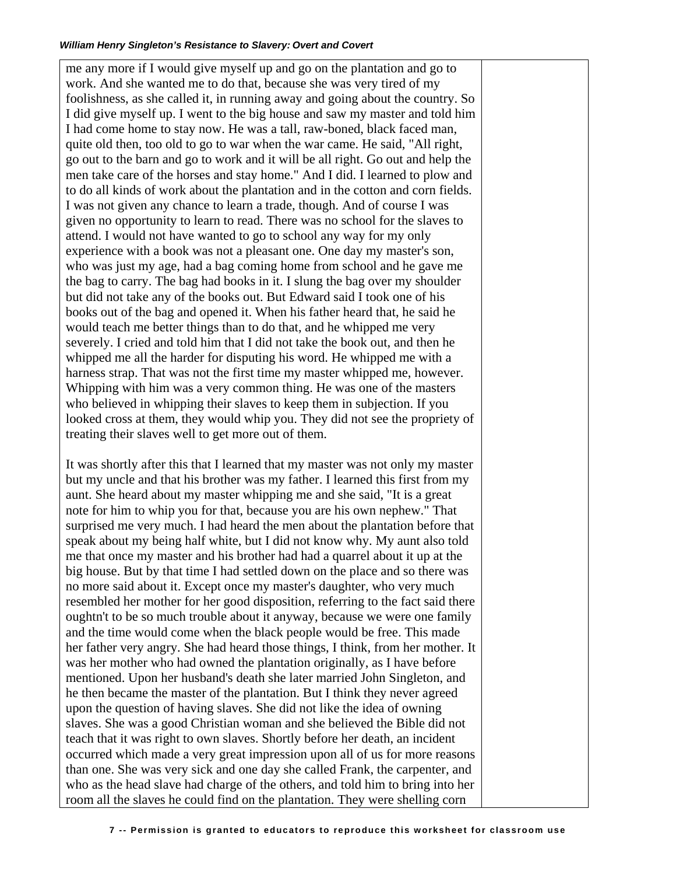me any more if I would give myself up and go on the plantation and go to work. And she wanted me to do that, because she was very tired of my foolishness, as she called it, in running away and going about the country. So I did give myself up. I went to the big house and saw my master and told him I had come home to stay now. He was a tall, raw-boned, black faced man, quite old then, too old to go to war when the war came. He said, "All right, go out to the barn and go to work and it will be all right. Go out and help the men take care of the horses and stay home." And I did. I learned to plow and to do all kinds of work about the plantation and in the cotton and corn fields. I was not given any chance to learn a trade, though. And of course I was given no opportunity to learn to read. There was no school for the slaves to attend. I would not have wanted to go to school any way for my only experience with a book was not a pleasant one. One day my master's son, who was just my age, had a bag coming home from school and he gave me the bag to carry. The bag had books in it. I slung the bag over my shoulder but did not take any of the books out. But Edward said I took one of his books out of the bag and opened it. When his father heard that, he said he would teach me better things than to do that, and he whipped me very severely. I cried and told him that I did not take the book out, and then he whipped me all the harder for disputing his word. He whipped me with a harness strap. That was not the first time my master whipped me, however. Whipping with him was a very common thing. He was one of the masters who believed in whipping their slaves to keep them in subjection. If you looked cross at them, they would whip you. They did not see the propriety of treating their slaves well to get more out of them.

It was shortly after this that I learned that my master was not only my master but my uncle and that his brother was my father. I learned this first from my aunt. She heard about my master whipping me and she said, "It is a great note for him to whip you for that, because you are his own nephew." That surprised me very much. I had heard the men about the plantation before that speak about my being half white, but I did not know why. My aunt also told me that once my master and his brother had had a quarrel about it up at the big house. But by that time I had settled down on the place and so there was no more said about it. Except once my master's daughter, who very much resembled her mother for her good disposition, referring to the fact said there oughtn't to be so much trouble about it anyway, because we were one family and the time would come when the black people would be free. This made her father very angry. She had heard those things, I think, from her mother. It was her mother who had owned the plantation originally, as I have before mentioned. Upon her husband's death she later married John Singleton, and he then became the master of the plantation. But I think they never agreed upon the question of having slaves. She did not like the idea of owning slaves. She was a good Christian woman and she believed the Bible did not teach that it was right to own slaves. Shortly before her death, an incident occurred which made a very great impression upon all of us for more reasons than one. She was very sick and one day she called Frank, the carpenter, and who as the head slave had charge of the others, and told him to bring into her room all the slaves he could find on the plantation. They were shelling corn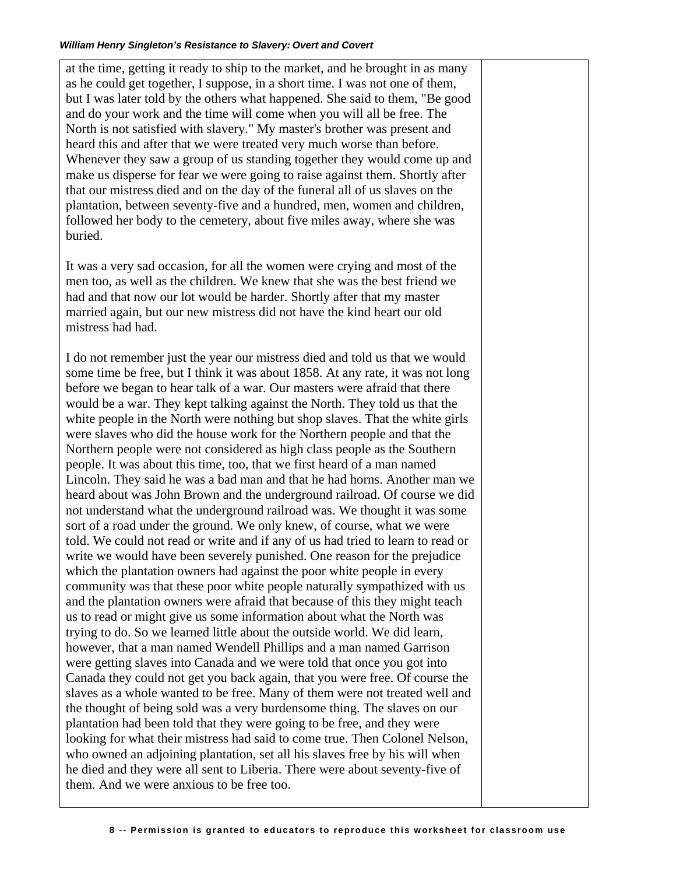at the time, getting it ready to ship to the market, and he brought in as many as he could get together, I suppose, in a short time. I was not one of them, but I was later told by the others what happened. She said to them, "Be good and do your work and the time will come when you will all be free. The North is not satisfied with slavery." My master's brother was present and heard this and after that we were treated very much worse than before. Whenever they saw a group of us standing together they would come up and make us disperse for fear we were going to raise against them. Shortly after that our mistress died and on the day of the funeral all of us slaves on the plantation, between seventy-five and a hundred, men, women and children, followed her body to the cemetery, about five miles away, where she was buried.

It was a very sad occasion, for all the women were crying and most of the men too, as well as the children. We knew that she was the best friend we had and that now our lot would be harder. Shortly after that my master married again, but our new mistress did not have the kind heart our old mistress had had.

I do not remember just the year our mistress died and told us that we would some time be free, but I think it was about 1858. At any rate, it was not long before we began to hear talk of a war. Our masters were afraid that there would be a war. They kept talking against the North. They told us that the white people in the North were nothing but shop slaves. That the white girls were slaves who did the house work for the Northern people and that the Northern people were not considered as high class people as the Southern people. It was about this time, too, that we first heard of a man named Lincoln. They said he was a bad man and that he had horns. Another man we heard about was John Brown and the underground railroad. Of course we did not understand what the underground railroad was. We thought it was some sort of a road under the ground. We only knew, of course, what we were told. We could not read or write and if any of us had tried to learn to read or write we would have been severely punished. One reason for the prejudice which the plantation owners had against the poor white people in every community was that these poor white people naturally sympathized with us and the plantation owners were afraid that because of this they might teach us to read or might give us some information about what the North was trying to do. So we learned little about the outside world. We did learn, however, that a man named Wendell Phillips and a man named Garrison were getting slaves into Canada and we were told that once you got into Canada they could not get you back again, that you were free. Of course the slaves as a whole wanted to be free. Many of them were not treated well and the thought of being sold was a very burdensome thing. The slaves on our plantation had been told that they were going to be free, and they were looking for what their mistress had said to come true. Then Colonel Nelson, who owned an adjoining plantation, set all his slaves free by his will when he died and they were all sent to Liberia. There were about seventy-five of them. And we were anxious to be free too.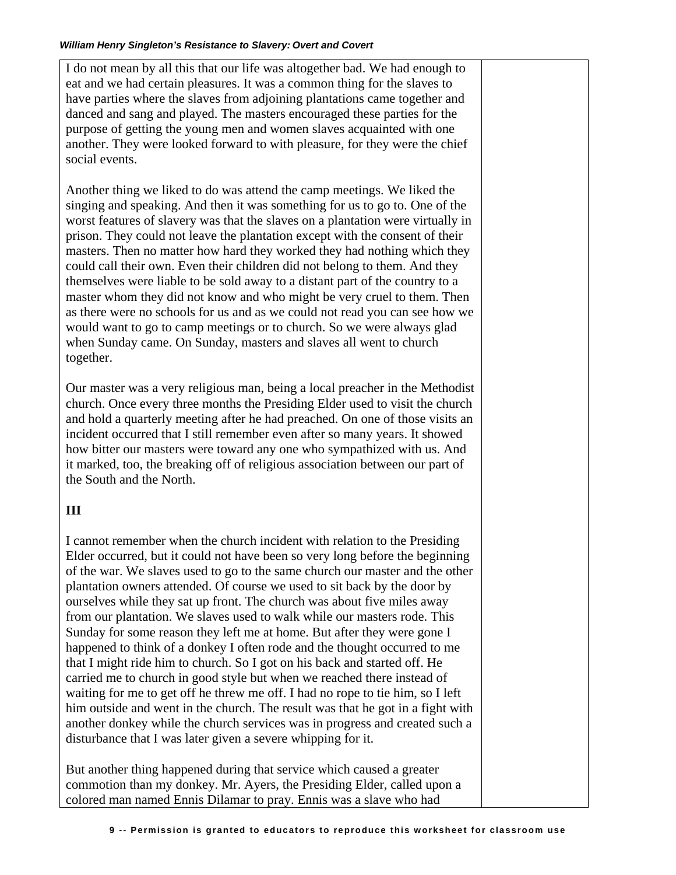I do not mean by all this that our life was altogether bad. We had enough to eat and we had certain pleasures. It was a common thing for the slaves to have parties where the slaves from adjoining plantations came together and danced and sang and played. The masters encouraged these parties for the purpose of getting the young men and women slaves acquainted with one another. They were looked forward to with pleasure, for they were the chief social events.

Another thing we liked to do was attend the camp meetings. We liked the singing and speaking. And then it was something for us to go to. One of the worst features of slavery was that the slaves on a plantation were virtually in prison. They could not leave the plantation except with the consent of their masters. Then no matter how hard they worked they had nothing which they could call their own. Even their children did not belong to them. And they themselves were liable to be sold away to a distant part of the country to a master whom they did not know and who might be very cruel to them. Then as there were no schools for us and as we could not read you can see how we would want to go to camp meetings or to church. So we were always glad when Sunday came. On Sunday, masters and slaves all went to church together.

Our master was a very religious man, being a local preacher in the Methodist church. Once every three months the Presiding Elder used to visit the church and hold a quarterly meeting after he had preached. On one of those visits an incident occurred that I still remember even after so many years. It showed how bitter our masters were toward any one who sympathized with us. And it marked, too, the breaking off of religious association between our part of the South and the North.

# **III**

I cannot remember when the church incident with relation to the Presiding Elder occurred, but it could not have been so very long before the beginning of the war. We slaves used to go to the same church our master and the other plantation owners attended. Of course we used to sit back by the door by ourselves while they sat up front. The church was about five miles away from our plantation. We slaves used to walk while our masters rode. This Sunday for some reason they left me at home. But after they were gone I happened to think of a donkey I often rode and the thought occurred to me that I might ride him to church. So I got on his back and started off. He carried me to church in good style but when we reached there instead of waiting for me to get off he threw me off. I had no rope to tie him, so I left him outside and went in the church. The result was that he got in a fight with another donkey while the church services was in progress and created such a disturbance that I was later given a severe whipping for it.

But another thing happened during that service which caused a greater commotion than my donkey. Mr. Ayers, the Presiding Elder, called upon a colored man named Ennis Dilamar to pray. Ennis was a slave who had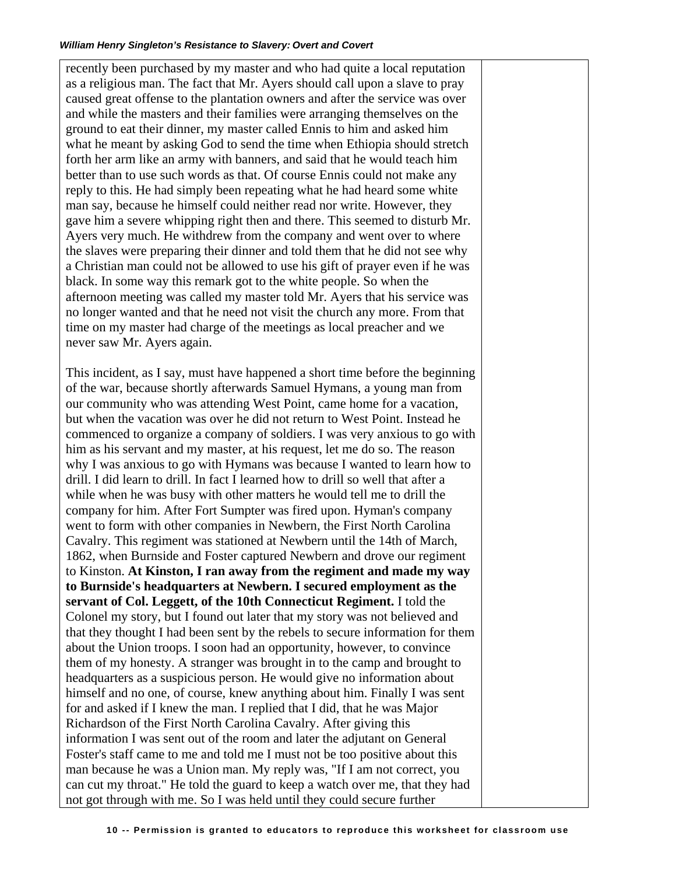recently been purchased by my master and who had quite a local reputation as a religious man. The fact that Mr. Ayers should call upon a slave to pray caused great offense to the plantation owners and after the service was over and while the masters and their families were arranging themselves on the ground to eat their dinner, my master called Ennis to him and asked him what he meant by asking God to send the time when Ethiopia should stretch forth her arm like an army with banners, and said that he would teach him better than to use such words as that. Of course Ennis could not make any reply to this. He had simply been repeating what he had heard some white man say, because he himself could neither read nor write. However, they gave him a severe whipping right then and there. This seemed to disturb Mr. Ayers very much. He withdrew from the company and went over to where the slaves were preparing their dinner and told them that he did not see why a Christian man could not be allowed to use his gift of prayer even if he was black. In some way this remark got to the white people. So when the afternoon meeting was called my master told Mr. Ayers that his service was no longer wanted and that he need not visit the church any more. From that time on my master had charge of the meetings as local preacher and we never saw Mr. Ayers again.

This incident, as I say, must have happened a short time before the beginning of the war, because shortly afterwards Samuel Hymans, a young man from our community who was attending West Point, came home for a vacation, but when the vacation was over he did not return to West Point. Instead he commenced to organize a company of soldiers. I was very anxious to go with him as his servant and my master, at his request, let me do so. The reason why I was anxious to go with Hymans was because I wanted to learn how to drill. I did learn to drill. In fact I learned how to drill so well that after a while when he was busy with other matters he would tell me to drill the company for him. After Fort Sumpter was fired upon. Hyman's company went to form with other companies in Newbern, the First North Carolina Cavalry. This regiment was stationed at Newbern until the 14th of March, 1862, when Burnside and Foster captured Newbern and drove our regiment to Kinston. **At Kinston, I ran away from the regiment and made my way to Burnside's headquarters at Newbern. I secured employment as the servant of Col. Leggett, of the 10th Connecticut Regiment.** I told the Colonel my story, but I found out later that my story was not believed and that they thought I had been sent by the rebels to secure information for them about the Union troops. I soon had an opportunity, however, to convince them of my honesty. A stranger was brought in to the camp and brought to headquarters as a suspicious person. He would give no information about himself and no one, of course, knew anything about him. Finally I was sent for and asked if I knew the man. I replied that I did, that he was Major Richardson of the First North Carolina Cavalry. After giving this information I was sent out of the room and later the adjutant on General Foster's staff came to me and told me I must not be too positive about this man because he was a Union man. My reply was, "If I am not correct, you can cut my throat." He told the guard to keep a watch over me, that they had not got through with me. So I was held until they could secure further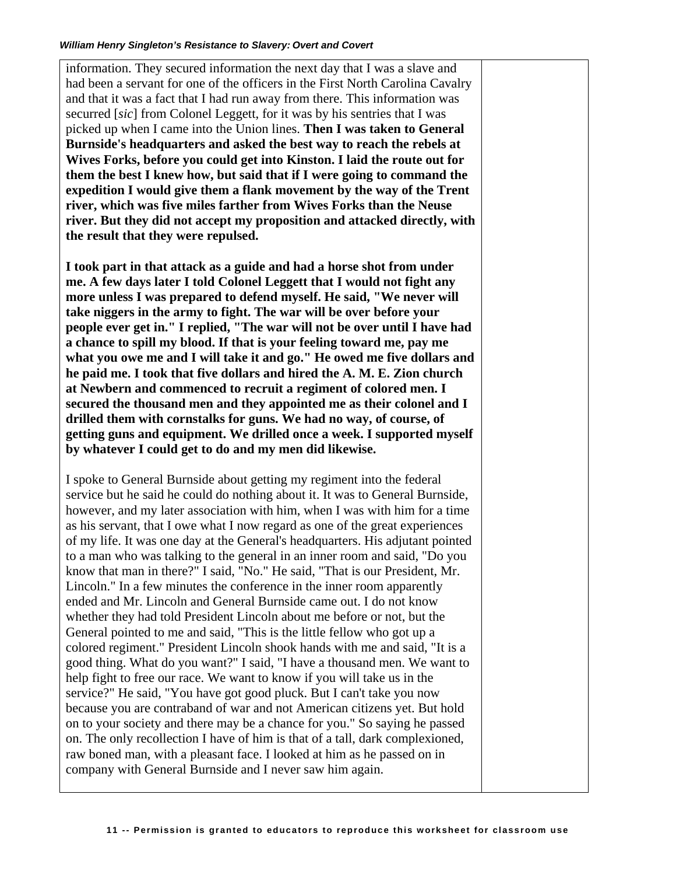information. They secured information the next day that I was a slave and had been a servant for one of the officers in the First North Carolina Cavalry and that it was a fact that I had run away from there. This information was securred [*sic*] from Colonel Leggett, for it was by his sentries that I was picked up when I came into the Union lines. **Then I was taken to General Burnside's headquarters and asked the best way to reach the rebels at Wives Forks, before you could get into Kinston. I laid the route out for them the best I knew how, but said that if I were going to command the expedition I would give them a flank movement by the way of the Trent river, which was five miles farther from Wives Forks than the Neuse river. But they did not accept my proposition and attacked directly, with the result that they were repulsed.** 

**I took part in that attack as a guide and had a horse shot from under me. A few days later I told Colonel Leggett that I would not fight any more unless I was prepared to defend myself. He said, "We never will take niggers in the army to fight. The war will be over before your people ever get in." I replied, "The war will not be over until I have had a chance to spill my blood. If that is your feeling toward me, pay me what you owe me and I will take it and go." He owed me five dollars and he paid me. I took that five dollars and hired the A. M. E. Zion church at Newbern and commenced to recruit a regiment of colored men. I secured the thousand men and they appointed me as their colonel and I drilled them with cornstalks for guns. We had no way, of course, of getting guns and equipment. We drilled once a week. I supported myself by whatever I could get to do and my men did likewise.** 

I spoke to General Burnside about getting my regiment into the federal service but he said he could do nothing about it. It was to General Burnside, however, and my later association with him, when I was with him for a time as his servant, that I owe what I now regard as one of the great experiences of my life. It was one day at the General's headquarters. His adjutant pointed to a man who was talking to the general in an inner room and said, "Do you know that man in there?" I said, "No." He said, "That is our President, Mr. Lincoln." In a few minutes the conference in the inner room apparently ended and Mr. Lincoln and General Burnside came out. I do not know whether they had told President Lincoln about me before or not, but the General pointed to me and said, "This is the little fellow who got up a colored regiment." President Lincoln shook hands with me and said, "It is a good thing. What do you want?" I said, "I have a thousand men. We want to help fight to free our race. We want to know if you will take us in the service?" He said, "You have got good pluck. But I can't take you now because you are contraband of war and not American citizens yet. But hold on to your society and there may be a chance for you." So saying he passed on. The only recollection I have of him is that of a tall, dark complexioned, raw boned man, with a pleasant face. I looked at him as he passed on in company with General Burnside and I never saw him again.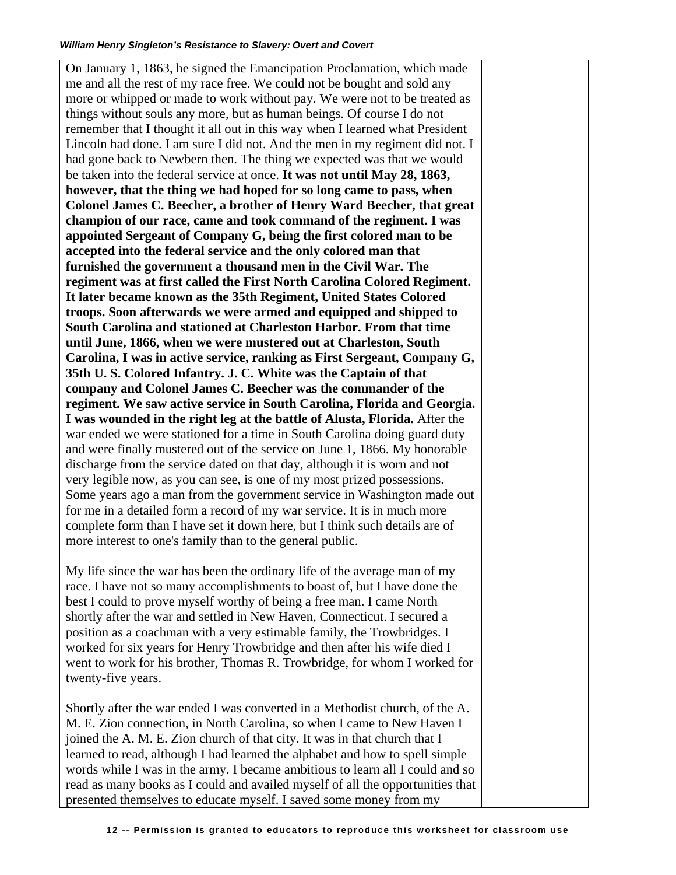On January 1, 1863, he signed the Emancipation Proclamation, which made me and all the rest of my race free. We could not be bought and sold any more or whipped or made to work without pay. We were not to be treated as things without souls any more, but as human beings. Of course I do not remember that I thought it all out in this way when I learned what President Lincoln had done. I am sure I did not. And the men in my regiment did not. I had gone back to Newbern then. The thing we expected was that we would be taken into the federal service at once. **It was not until May 28, 1863, however, that the thing we had hoped for so long came to pass, when Colonel James C. Beecher, a brother of Henry Ward Beecher, that great champion of our race, came and took command of the regiment. I was appointed Sergeant of Company G, being the first colored man to be accepted into the federal service and the only colored man that furnished the government a thousand men in the Civil War. The regiment was at first called the First North Carolina Colored Regiment. It later became known as the 35th Regiment, United States Colored troops. Soon afterwards we were armed and equipped and shipped to South Carolina and stationed at Charleston Harbor. From that time until June, 1866, when we were mustered out at Charleston, South Carolina, I was in active service, ranking as First Sergeant, Company G, 35th U. S. Colored Infantry. J. C. White was the Captain of that company and Colonel James C. Beecher was the commander of the regiment. We saw active service in South Carolina, Florida and Georgia. I was wounded in the right leg at the battle of Alusta, Florida.** After the war ended we were stationed for a time in South Carolina doing guard duty and were finally mustered out of the service on June 1, 1866. My honorable discharge from the service dated on that day, although it is worn and not very legible now, as you can see, is one of my most prized possessions. Some years ago a man from the government service in Washington made out for me in a detailed form a record of my war service. It is in much more complete form than I have set it down here, but I think such details are of more interest to one's family than to the general public.

My life since the war has been the ordinary life of the average man of my race. I have not so many accomplishments to boast of, but I have done the best I could to prove myself worthy of being a free man. I came North shortly after the war and settled in New Haven, Connecticut. I secured a position as a coachman with a very estimable family, the Trowbridges. I worked for six years for Henry Trowbridge and then after his wife died I went to work for his brother, Thomas R. Trowbridge, for whom I worked for twenty-five years.

Shortly after the war ended I was converted in a Methodist church, of the A. M. E. Zion connection, in North Carolina, so when I came to New Haven I joined the A. M. E. Zion church of that city. It was in that church that I learned to read, although I had learned the alphabet and how to spell simple words while I was in the army. I became ambitious to learn all I could and so read as many books as I could and availed myself of all the opportunities that presented themselves to educate myself. I saved some money from my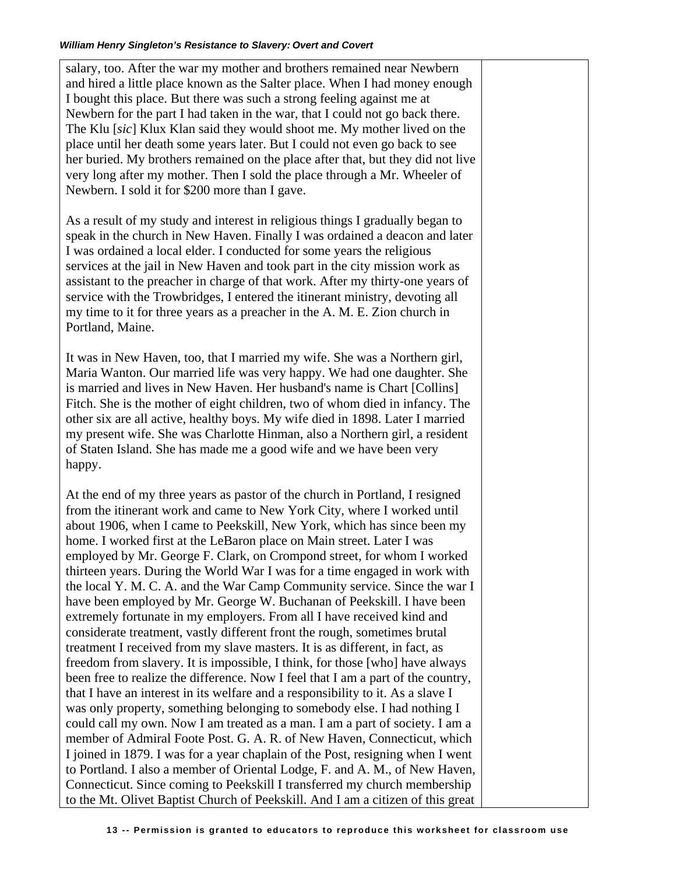salary, too. After the war my mother and brothers remained near Newbern and hired a little place known as the Salter place. When I had money enough I bought this place. But there was such a strong feeling against me at Newbern for the part I had taken in the war, that I could not go back there. The Klu [*sic*] Klux Klan said they would shoot me. My mother lived on the place until her death some years later. But I could not even go back to see her buried. My brothers remained on the place after that, but they did not live very long after my mother. Then I sold the place through a Mr. Wheeler of Newbern. I sold it for \$200 more than I gave.

As a result of my study and interest in religious things I gradually began to speak in the church in New Haven. Finally I was ordained a deacon and later I was ordained a local elder. I conducted for some years the religious services at the jail in New Haven and took part in the city mission work as assistant to the preacher in charge of that work. After my thirty-one years of service with the Trowbridges, I entered the itinerant ministry, devoting all my time to it for three years as a preacher in the A. M. E. Zion church in Portland, Maine.

It was in New Haven, too, that I married my wife. She was a Northern girl, Maria Wanton. Our married life was very happy. We had one daughter. She is married and lives in New Haven. Her husband's name is Chart [Collins] Fitch. She is the mother of eight children, two of whom died in infancy. The other six are all active, healthy boys. My wife died in 1898. Later I married my present wife. She was Charlotte Hinman, also a Northern girl, a resident of Staten Island. She has made me a good wife and we have been very happy.

At the end of my three years as pastor of the church in Portland, I resigned from the itinerant work and came to New York City, where I worked until about 1906, when I came to Peekskill, New York, which has since been my home. I worked first at the LeBaron place on Main street. Later I was employed by Mr. George F. Clark, on Crompond street, for whom I worked thirteen years. During the World War I was for a time engaged in work with the local Y. M. C. A. and the War Camp Community service. Since the war I have been employed by Mr. George W. Buchanan of Peekskill. I have been extremely fortunate in my employers. From all I have received kind and considerate treatment, vastly different front the rough, sometimes brutal treatment I received from my slave masters. It is as different, in fact, as freedom from slavery. It is impossible, I think, for those [who] have always been free to realize the difference. Now I feel that I am a part of the country, that I have an interest in its welfare and a responsibility to it. As a slave I was only property, something belonging to somebody else. I had nothing I could call my own. Now I am treated as a man. I am a part of society. I am a member of Admiral Foote Post. G. A. R. of New Haven, Connecticut, which I joined in 1879. I was for a year chaplain of the Post, resigning when I went to Portland. I also a member of Oriental Lodge, F. and A. M., of New Haven, Connecticut. Since coming to Peekskill I transferred my church membership to the Mt. Olivet Baptist Church of Peekskill. And I am a citizen of this great